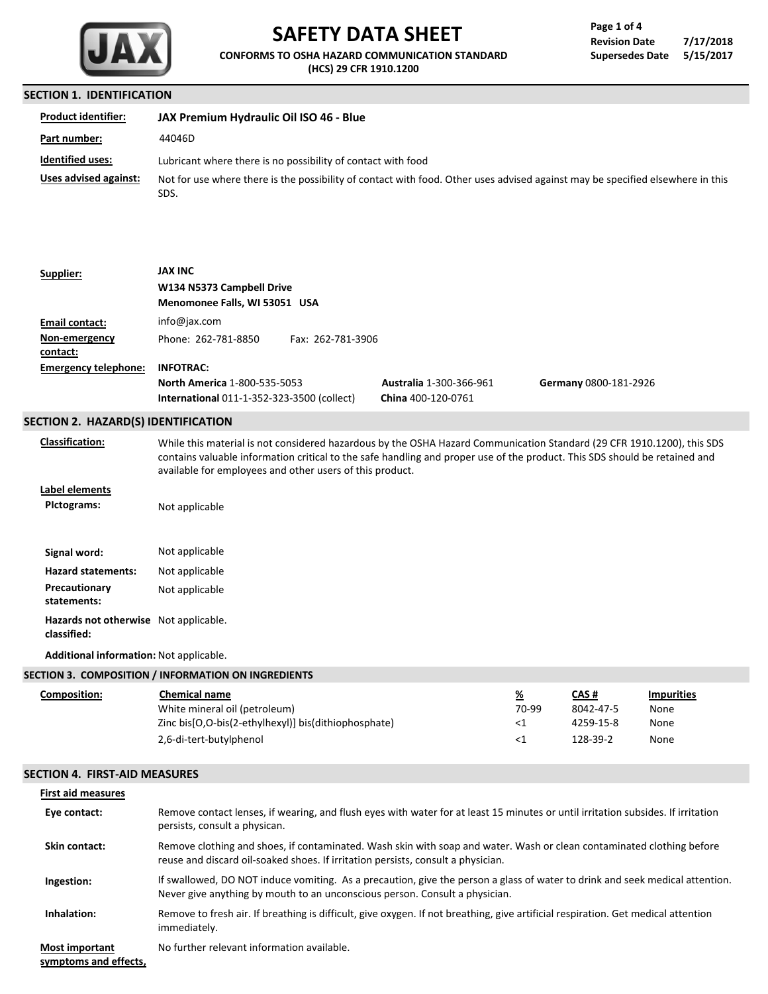

# **SAFETY DATA SHEET**

**CONFORMS TO OSHA HAZARD COMMUNICATION STANDARD (HCS) 29 CFR 1910.1200**

| Page 1 of 4            |           |
|------------------------|-----------|
| <b>Revision Date</b>   | 7/17/2018 |
| <b>Supersedes Date</b> | 5/15/2017 |

#### **SECTION 1. IDENTIFICATION**

| <b>Product identifier:</b> | JAX Premium Hydraulic Oil ISO 46 - Blue                                                                                                |
|----------------------------|----------------------------------------------------------------------------------------------------------------------------------------|
| Part number:               | 44046D                                                                                                                                 |
| <b>Identified uses:</b>    | Lubricant where there is no possibility of contact with food                                                                           |
| Uses advised against:      | Not for use where there is the possibility of contact with food. Other uses advised against may be specified elsewhere in this<br>SDS. |

#### **Supplier: W134 N5373 Campbell Drive JAX INC**

|                             | Menomonee Falls, WI 53051 USA                     |                   |                                |                       |
|-----------------------------|---------------------------------------------------|-------------------|--------------------------------|-----------------------|
| Email contact:              | info@jax.com                                      |                   |                                |                       |
| Non-emergency               | Phone: 262-781-8850                               | Fax: 262-781-3906 |                                |                       |
| contact:                    |                                                   |                   |                                |                       |
| <b>Emergency telephone:</b> | <b>INFOTRAC:</b>                                  |                   |                                |                       |
|                             | <b>North America 1-800-535-5053</b>               |                   | <b>Australia 1-300-366-961</b> | Germany 0800-181-2926 |
|                             | <b>International 011-1-352-323-3500 (collect)</b> |                   | China 400-120-0761             |                       |

## **SECTION 2. HAZARD(S) IDENTIFICATION**

**Classification:**

While this material is not considered hazardous by the OSHA Hazard Communication Standard (29 CFR 1910.1200), this SDS contains valuable information critical to the safe handling and proper use of the product. This SDS should be retained and available for employees and other users of this product.

**Label elements**

Signal word: Not applicable **PIctograms: Hazard statements:** Not applicable **Precautionary** Not applicable **statements:** Not applicable **Hazards not otherwise** Not applicable.**classified:**

**Additional information:** Not applicable.

# **SECTION 3. COMPOSITION / INFORMATION ON INGREDIENTS**

| Composition: | Chemical name                                        | <u>%</u> | CAS #     | <b>Impurities</b> |
|--------------|------------------------------------------------------|----------|-----------|-------------------|
|              | White mineral oil (petroleum)                        | 70-99    | 8042-47-5 | None              |
|              | Zinc bis[O,O-bis(2-ethylhexyl)] bis(dithiophosphate) | -41      | 4259-15-8 | None              |
|              | 2,6-di-tert-butylphenol                              | ذ>       | 128-39-2  | None              |

# **SECTION 4. FIRST-AID MEASURES**

| <b>First aid measures</b>                      |                                                                                                                                                                                                             |
|------------------------------------------------|-------------------------------------------------------------------------------------------------------------------------------------------------------------------------------------------------------------|
| Eye contact:                                   | Remove contact lenses, if wearing, and flush eyes with water for at least 15 minutes or until irritation subsides. If irritation<br>persists, consult a physican.                                           |
| <b>Skin contact:</b>                           | Remove clothing and shoes, if contaminated. Wash skin with soap and water. Wash or clean contaminated clothing before<br>reuse and discard oil-soaked shoes. If irritation persists, consult a physician.   |
| Ingestion:                                     | If swallowed, DO NOT induce vomiting. As a precaution, give the person a glass of water to drink and seek medical attention.<br>Never give anything by mouth to an unconscious person. Consult a physician. |
| Inhalation:                                    | Remove to fresh air. If breathing is difficult, give oxygen. If not breathing, give artificial respiration. Get medical attention<br>immediately.                                                           |
| <b>Most important</b><br>symptoms and effects, | No further relevant information available.                                                                                                                                                                  |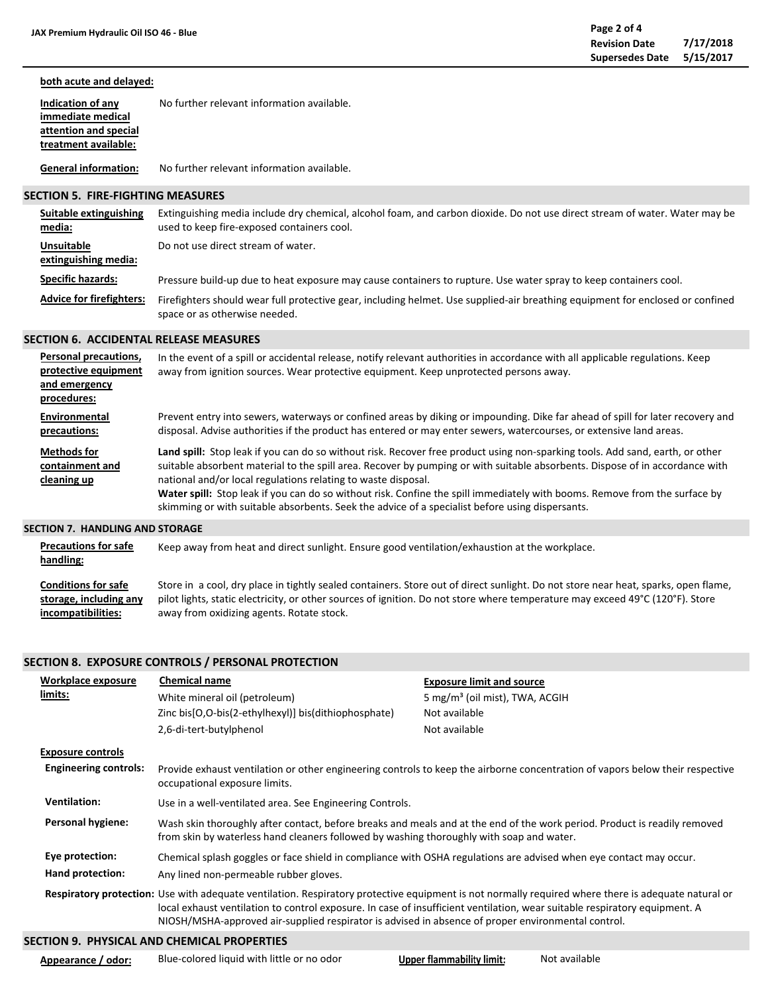#### **both acute and delayed: Indication of any immediate medical attention and special treatment available:** No further relevant information available.

**General information:** No further relevant information available.

## **SECTION 5. FIRE-FIGHTING MEASURES**

| Suitable extinguishing<br>media:          | Extinguishing media include dry chemical, alcohol foam, and carbon dioxide. Do not use direct stream of water. Water may be<br>used to keep fire-exposed containers cool. |
|-------------------------------------------|---------------------------------------------------------------------------------------------------------------------------------------------------------------------------|
| <b>Unsuitable</b><br>extinguishing media: | Do not use direct stream of water.                                                                                                                                        |
| <b>Specific hazards:</b>                  | Pressure build-up due to heat exposure may cause containers to rupture. Use water spray to keep containers cool.                                                          |
| <b>Advice for firefighters:</b>           | Firefighters should wear full protective gear, including helmet. Use supplied-air breathing equipment for enclosed or confined<br>space or as otherwise needed.           |

## **SECTION 6. ACCIDENTAL RELEASE MEASURES**

| Personal precautions,<br>protective equipment<br>and emergency<br>procedures: | In the event of a spill or accidental release, notify relevant authorities in accordance with all applicable regulations. Keep<br>away from ignition sources. Wear protective equipment. Keep unprotected persons away.                                                                                                                                                                                                                                                                                                                                         |
|-------------------------------------------------------------------------------|-----------------------------------------------------------------------------------------------------------------------------------------------------------------------------------------------------------------------------------------------------------------------------------------------------------------------------------------------------------------------------------------------------------------------------------------------------------------------------------------------------------------------------------------------------------------|
| Environmental<br>precautions:                                                 | Prevent entry into sewers, waterways or confined areas by diking or impounding. Dike far ahead of spill for later recovery and<br>disposal. Advise authorities if the product has entered or may enter sewers, watercourses, or extensive land areas.                                                                                                                                                                                                                                                                                                           |
| <b>Methods for</b><br>containment and<br>cleaning up                          | Land spill: Stop leak if you can do so without risk. Recover free product using non-sparking tools. Add sand, earth, or other<br>suitable absorbent material to the spill area. Recover by pumping or with suitable absorbents. Dispose of in accordance with<br>national and/or local regulations relating to waste disposal.<br>Water spill: Stop leak if you can do so without risk. Confine the spill immediately with booms. Remove from the surface by<br>skimming or with suitable absorbents. Seek the advice of a specialist before using dispersants. |
| <b>SECTION 7. HANDLING AND STORAGE</b>                                        |                                                                                                                                                                                                                                                                                                                                                                                                                                                                                                                                                                 |

| <b>Precautions for safe</b><br>handling: | Keep away from heat and direct sunlight. Ensure good ventilation/exhaustion at the workplace.                                      |
|------------------------------------------|------------------------------------------------------------------------------------------------------------------------------------|
| <b>Conditions for safe</b>               | Store in a cool, dry place in tightly sealed containers. Store out of direct sunlight. Do not store near heat, sparks, open flame, |
| storage, including any                   | pilot lights, static electricity, or other sources of ignition. Do not store where temperature may exceed 49°C (120°F). Store      |
| incompatibilities:                       | away from oxidizing agents. Rotate stock.                                                                                          |

# **SECTION 8. EXPOSURE CONTROLS / PERSONAL PROTECTION**

| limits:<br>White mineral oil (petroleum)                      |                                                          | 5 mg/m <sup>3</sup> (oil mist), TWA, ACGIH                                                                                                                                                                                                                                                                                                                                              |
|---------------------------------------------------------------|----------------------------------------------------------|-----------------------------------------------------------------------------------------------------------------------------------------------------------------------------------------------------------------------------------------------------------------------------------------------------------------------------------------------------------------------------------------|
|                                                               | Zinc bis[O,O-bis(2-ethylhexyl)] bis(dithiophosphate)     | Not available                                                                                                                                                                                                                                                                                                                                                                           |
| 2,6-di-tert-butylphenol                                       |                                                          | Not available                                                                                                                                                                                                                                                                                                                                                                           |
| <b>Exposure controls</b>                                      |                                                          |                                                                                                                                                                                                                                                                                                                                                                                         |
| <b>Engineering controls:</b><br>occupational exposure limits. |                                                          | Provide exhaust ventilation or other engineering controls to keep the airborne concentration of vapors below their respective                                                                                                                                                                                                                                                           |
| <b>Ventilation:</b>                                           | Use in a well-ventilated area. See Engineering Controls. |                                                                                                                                                                                                                                                                                                                                                                                         |
| <b>Personal hygiene:</b>                                      |                                                          | Wash skin thoroughly after contact, before breaks and meals and at the end of the work period. Product is readily removed<br>from skin by waterless hand cleaners followed by washing thoroughly with soap and water.                                                                                                                                                                   |
| Eye protection:                                               |                                                          | Chemical splash goggles or face shield in compliance with OSHA regulations are advised when eye contact may occur.                                                                                                                                                                                                                                                                      |
| Hand protection:<br>Any lined non-permeable rubber gloves.    |                                                          |                                                                                                                                                                                                                                                                                                                                                                                         |
|                                                               |                                                          | Respiratory protection: Use with adequate ventilation. Respiratory protective equipment is not normally required where there is adequate natural or<br>local exhaust ventilation to control exposure. In case of insufficient ventilation, wear suitable respiratory equipment. A<br>NIOSH/MSHA-approved air-supplied respirator is advised in absence of proper environmental control. |

# **SECTION 9. PHYSICAL AND CHEMICAL PROPERTIES**

**Appearance / odor:**

Blue-colored liquid with little or no odor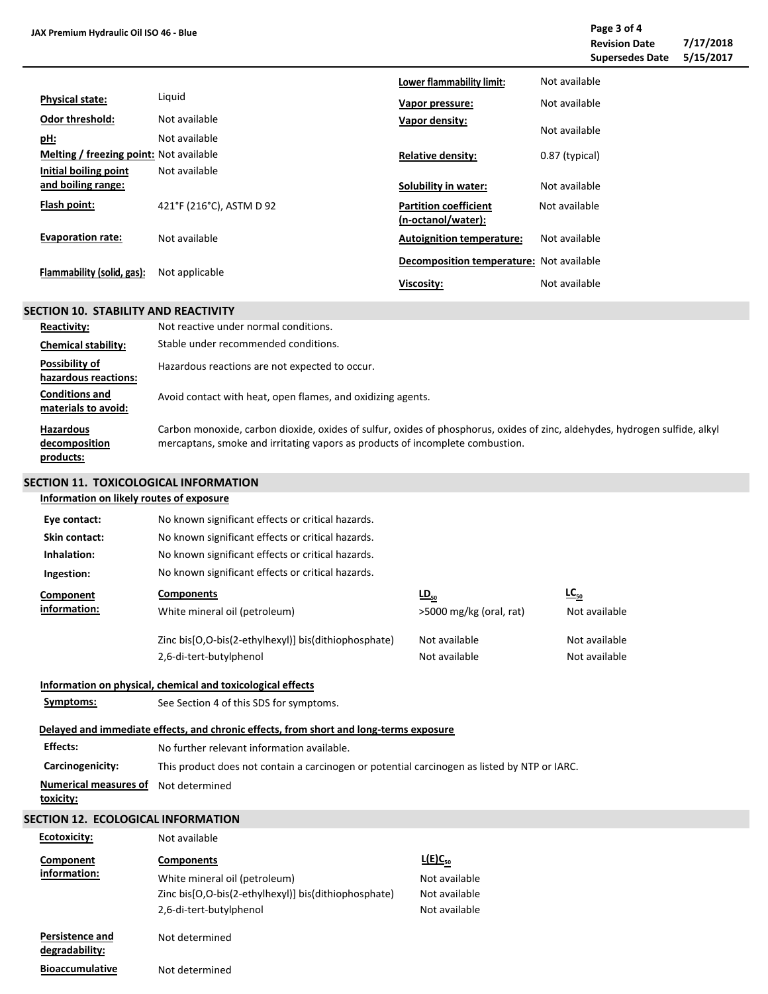|  | JAX Premium Hydraulic Oil ISO 46 - Blue |  |
|--|-----------------------------------------|--|
|--|-----------------------------------------|--|

| AX Premium Hydraulic Oil ISO 46 - Blue         |                          |                                                    |                | Page 3 of 4<br><b>Revision Date</b><br><b>Supersedes Date</b> | 7/17/2018<br>5/15/2017 |
|------------------------------------------------|--------------------------|----------------------------------------------------|----------------|---------------------------------------------------------------|------------------------|
|                                                |                          | Lower flammability limit:                          | Not available  |                                                               |                        |
| <b>Physical state:</b>                         | Liquid                   | Vapor pressure:                                    | Not available  |                                                               |                        |
| <b>Odor threshold:</b>                         | Not available            | Vapor density:                                     |                |                                                               |                        |
| <u>pH:</u>                                     | Not available            |                                                    | Not available  |                                                               |                        |
| <b>Melting / freezing point:</b> Not available |                          | <b>Relative density:</b>                           | 0.87 (typical) |                                                               |                        |
| Initial boiling point                          | Not available            |                                                    |                |                                                               |                        |
| and boiling range:                             |                          | Solubility in water:                               | Not available  |                                                               |                        |
| Flash point:                                   | 421°F (216°C), ASTM D 92 | <b>Partition coefficient</b><br>(n-octanol/water): | Not available  |                                                               |                        |
| <b>Evaporation rate:</b>                       | Not available            | <b>Autoignition temperature:</b>                   | Not available  |                                                               |                        |
|                                                |                          | Decomposition temperature: Not available           |                |                                                               |                        |
| Flammability (solid, gas):                     | Not applicable           | Viscosity:                                         | Not available  |                                                               |                        |

# **SECTION 10. STABILITY AND REACTIVITY**

| <b>Reactivity:</b>                             | Not reactive under normal conditions.                                                                                                                                                                        |
|------------------------------------------------|--------------------------------------------------------------------------------------------------------------------------------------------------------------------------------------------------------------|
| <b>Chemical stability:</b>                     | Stable under recommended conditions.                                                                                                                                                                         |
| Possibility of<br>hazardous reactions:         | Hazardous reactions are not expected to occur.                                                                                                                                                               |
| <b>Conditions and</b><br>materials to avoid:   | Avoid contact with heat, open flames, and oxidizing agents.                                                                                                                                                  |
| <b>Hazardous</b><br>decomposition<br>products: | Carbon monoxide, carbon dioxide, oxides of sulfur, oxides of phosphorus, oxides of zinc, aldehydes, hydrogen sulfide, alkyl<br>mercaptans, smoke and irritating vapors as products of incomplete combustion. |

# **SECTION 11. TOXICOLOGICAL INFORMATION**

| Information on likely routes of exposure  |                                                                                              |                         |               |
|-------------------------------------------|----------------------------------------------------------------------------------------------|-------------------------|---------------|
| Eye contact:                              | No known significant effects or critical hazards.                                            |                         |               |
| Skin contact:                             | No known significant effects or critical hazards.                                            |                         |               |
| Inhalation:                               | No known significant effects or critical hazards.                                            |                         |               |
| Ingestion:                                | No known significant effects or critical hazards.                                            |                         |               |
| Component                                 | <b>Components</b>                                                                            | $\underline{LD}_{50}$   | $LC_{50}$     |
| information:                              | White mineral oil (petroleum)                                                                | >5000 mg/kg (oral, rat) | Not available |
|                                           | Zinc bis[O,O-bis(2-ethylhexyl)] bis(dithiophosphate)                                         | Not available           | Not available |
|                                           | 2,6-di-tert-butylphenol                                                                      | Not available           | Not available |
|                                           | Information on physical, chemical and toxicological effects                                  |                         |               |
| Symptoms:                                 | See Section 4 of this SDS for symptoms.                                                      |                         |               |
|                                           | Delayed and immediate effects, and chronic effects, from short and long-terms exposure       |                         |               |
| <b>Effects:</b>                           | No further relevant information available.                                                   |                         |               |
| Carcinogenicity:                          | This product does not contain a carcinogen or potential carcinogen as listed by NTP or IARC. |                         |               |
| <b>Numerical measures of</b><br>toxicity: | Not determined                                                                               |                         |               |
| <b>SECTION 12. ECOLOGICAL INFORMATION</b> |                                                                                              |                         |               |
| <b>Ecotoxicity:</b>                       | Not available                                                                                |                         |               |
| Component<br>information:                 | <b>Components</b>                                                                            | L(E)C <sub>50</sub>     |               |
|                                           | White mineral oil (petroleum)                                                                | Not available           |               |
|                                           | Zinc bis[O,O-bis(2-ethylhexyl)] bis(dithiophosphate)                                         | Not available           |               |
|                                           | 2,6-di-tert-butylphenol                                                                      | Not available           |               |
|                                           |                                                                                              |                         |               |

| degradability:         |                |
|------------------------|----------------|
| <b>Bioaccumulative</b> | Not determined |

Not determined

**Persistence and**